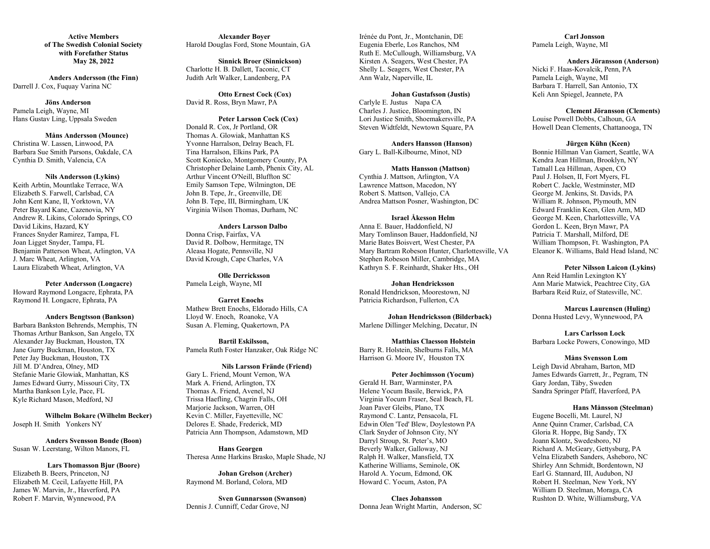**Active Members of The Swedish Colonial Society with Forefather Status May 28, 2022**

**Anders Andersson (the Finn)** Darrell J. Cox, Fuquay Varina NC

# **Jöns Anderson**

Pamela Leigh, Wayne, MI Hans Gustav Ling, Uppsala Sweden

#### **Måns Andersson (Mounce)**

Christina W. Lassen, Linwood, PA Barbara Sue Smith Parsons, Oakdale, CA Cynthia D. Smith, Valencia, CA

### **Nils Andersson (Lykins)**

Keith Arbtin, Mountlake Terrace, WA Elizabeth S. Farwell, Carlsbad, CA John Kent Kane, II, Yorktown, VA Peter Bayard Kane, Cazenovia, NY Andrew R. Likins, Colorado Springs, CO David Likins, Hazard, KY Frances Snyder Ramirez, Tampa, FL Joan Ligget Snyder, Tampa, FL Benjamin Patterson Wheat, Arlington, VA J. Marc Wheat, Arlington, VA Laura Elizabeth Wheat, Arlington, VA

**Peter Andersson (Longacre)** Howard Raymond Longacre, Ephrata, PA Raymond H. Longacre, Ephrata, PA

### **Anders Bengtsson (Bankson)**

Barbara Bankston Behrends, Memphis, TN Thomas Arthur Bankson, San Angelo, TX Alexander Jay Buckman, Houston, TX Jane Gurry Buckman, Houston, TX Peter Jay Buckman, Houston, TX Jill M. D'Andrea, Olney, MD Stefanie Marie Glowiak, Manhattan, KS James Edward Gurry, Missouri City, TX Martha Bankson Lyle, Pace, FL Kyle Richard Mason, Medford, NJ

**Wilhelm Bokare (Wilhelm Becker)** Joseph H. Smith Yonkers NY

**Anders Svensson Bonde (Boon)** Susan W. Leerstang, Wilton Manors, FL

#### **Lars Thomasson Bjur (Boore)**

Elizabeth B. Beers, Princeton, NJ Elizabeth M. Cecil, Lafayette Hill, PA James W. Marvin, Jr., Haverford, PA Robert F. Marvin, Wynnewood, PA

**Alexander Boyer** Harold Douglas Ford, Stone Mountain, GA

**Sinnick Broer (Sinnickson)** Charlotte H. B. Dallett, Taconic, CT Judith Arlt Walker, Landenberg, PA

**Otto Ernest Cock (Cox)** David R. Ross, Bryn Mawr, PA

#### **Peter Larsson Cock (Cox)**

Donald R. Cox, Jr Portland, OR Thomas A. Glowiak, Manhattan KS Yvonne Harralson, Delray Beach, FL Tina Harralson, Elkins Park, PA Scott Koniecko, Montgomery County, PA Christopher Delaine Lamb, Phenix City, AL Arthur Vincent O'Neill, Bluffton SC Emily Samson Tepe, Wilmington, DE John B. Tepe, Jr., Greenville, DE John B. Tepe, III, Birmingham, UK Virginia Wilson Thomas, Durham, NC

**Anders Larsson Dalbo** Donna Crisp, Fairfax, VA David R. Dolbow, Hermitage, TN Aleasa Hogate, Pennsville, NJ David Krough, Cape Charles, VA

**Olle Derricksson** Pamela Leigh, Wayne, MI

**Garret Enochs** Mathew Brett Enochs, Eldorado Hills, CA Lloyd W. Enoch, Roanoke, VA Susan A. Fleming, Quakertown, PA

**Bartil Eskilsson,**  Pamela Ruth Foster Hanzaker, Oak Ridge NC

# **Nils Larsson Frände (Friend)** Gary L. Friend, Mount Vernon, WA Mark A. Friend, Arlington, TX Thomas A. Friend, Avenel, NJ Trissa Haefling, Chagrin Falls, OH Marjorie Jackson, Warren, OH Kevin C. Miller, Fayetteville, NC Delores E. Shade, Frederick, MD Patricia Ann Thompson, Adamstown, MD

**Hans Georgen** Theresa Anne Harkins Brasko, Maple Shade, NJ

**Johan Grelson (Archer)** Raymond M. Borland, Colora, MD

**Sven Gunnarsson (Swanson)** Dennis J. Cunniff, Cedar Grove, NJ

Irénée du Pont, Jr., Montchanin, DE Eugenia Eberle, Los Ranchos, NM Ruth E. McCullough, Williamsburg, VA Kirsten A. Seagers, West Chester, PA Shelly L. Seagers, West Chester, PA Ann Walz, Naperville, IL

#### **Johan Gustafsson (Justis)**

Carlyle E. Justus Napa CA Charles J. Justice, Bloomington, IN Lori Justice Smith, Shoemakersville, PA Steven Widtfeldt, Newtown Square, PA

**Anders Hansson (Hanson)** Gary L. Ball-Kilbourne, Minot, ND

# **Matts Hansson (Mattson)**

Cynthia J. Mattson, Arlington, VA Lawrence Mattson, Macedon, NY Robert S. Mattson, Vallejo, CA Andrea Mattson Posner, Washington, DC

# **Israel Åkesson Helm**

Anna E. Bauer, Haddonfield, NJ Mary Tomlinson Bauer, Haddonfield, NJ Marie Bates Boisvert, West Chester, PA Mary Bartram Robeson Hunter, Charlottesville, VA Stephen Robeson Miller, Cambridge, MA Kathryn S. F. Reinhardt, Shaker Hts., OH

# **Johan Hendricksson**

Ronald Hendrickson, Moorestown, NJ Patricia Richardson, Fullerton, CA

**Johan Hendricksson (Bilderback)** Marlene Dillinger Melching, Decatur, IN

**Matthias Claesson Holstein** Barry R. Holstein, Shelburns Falls, MA Harrison G. Moore IV, Houston TX

### **Peter Jochimsson (Yocum)**

Gerald H. Barr, Warminster, PA Helene Yocum Basile, Berwick, PA Virginia Yocum Fraser, Seal Beach, FL Joan Paver Gleibs, Plano, TX Raymond C. Lantz, Pensacola, FL Edwin Olen 'Ted' Blew, Doylestown PA Clark Snyder of Johnson City, NY Darryl Stroup, St. Peter's, MO Beverly Walker, Galloway, NJ Ralph H. Walker, Mansfield, TX Katherine Williams, Seminole, OK Harold A. Yocum, Edmond, OK Howard C. Yocum, Aston, PA

**Claes Johansson** Donna Jean Wright Martin, Anderson, SC

**Carl Jonsson** Pamela Leigh, Wayne, MI

### **Anders Jöransson (Anderson)**

Nicki F. Haas-Kovalcik, Penn, PA Pamela Leigh, Wayne, MI Barbara T. Harrell, San Antonio, TX Keli Ann Spiegel, Jeannete, PA

# **Clement Jöransson (Clements)**

Louise Powell Dobbs, Calhoun, GA Howell Dean Clements, Chattanooga, TN

## **Jürgen Kühn (Keen)**

Bonnie Hillman Van Gamert, Seattle, WA Kendra Jean Hillman, Brooklyn, NY Tatnall Lea Hillman, Aspen, CO Paul J. Holsen, II, Fort Myers, FL Robert C. Jackle, Westminster, MD George M. Jenkins, St. Davids, PA William R. Johnson, Plymouth, MN Edward Franklin Keen, Glen Arm, MD George M. Keen, Charlottesville, VA Gordon L. Keen, Bryn Mawr, PA Patricia T. Marshall, Milford, DE William Thompson, Ft. Washington, PA Eleanor K. Williams, Bald Head Island, NC

#### **Peter Nilsson Laicon (Lykins)**

Ann Reid Hamlin Lexington KY Ann Marie Matwick, Peachtree City, GA Barbara Reid Ruiz, of Statesville, NC.

**Marcus Laurensen (Huling)** Donna Husted Levy, Wynnewood, PA

**Lars Carlsson Lock** Barbara Locke Powers, Conowingo, MD

#### **Måns Svensson Lom**

Leigh David Abraham, Barton, MD James Edwards Garrett, Jr., Pegram, TN Gary Jordan, Täby, Sweden Sandra Springer Pfaff, Haverford, PA

### **Hans Månsson (Steelman)**

Eugene Bocelli, Mt. Laurel, NJ Anne Quinn Cramer, Carlsbad, CA Gloria R. Hoppe, Big Sandy, TX Joann Klontz, Swedesboro, NJ Richard A. McGeary, Gettysburg, PA Velna Elizabeth Sanders, Asheboro, NC Shirley Ann Schmidt, Bordentown, NJ Earl G. Stannard, III, Audubon, NJ Robert H. Steelman, New York, NY William D. Steelman, Moraga, CA Rushton D. White, Williamsburg, VA